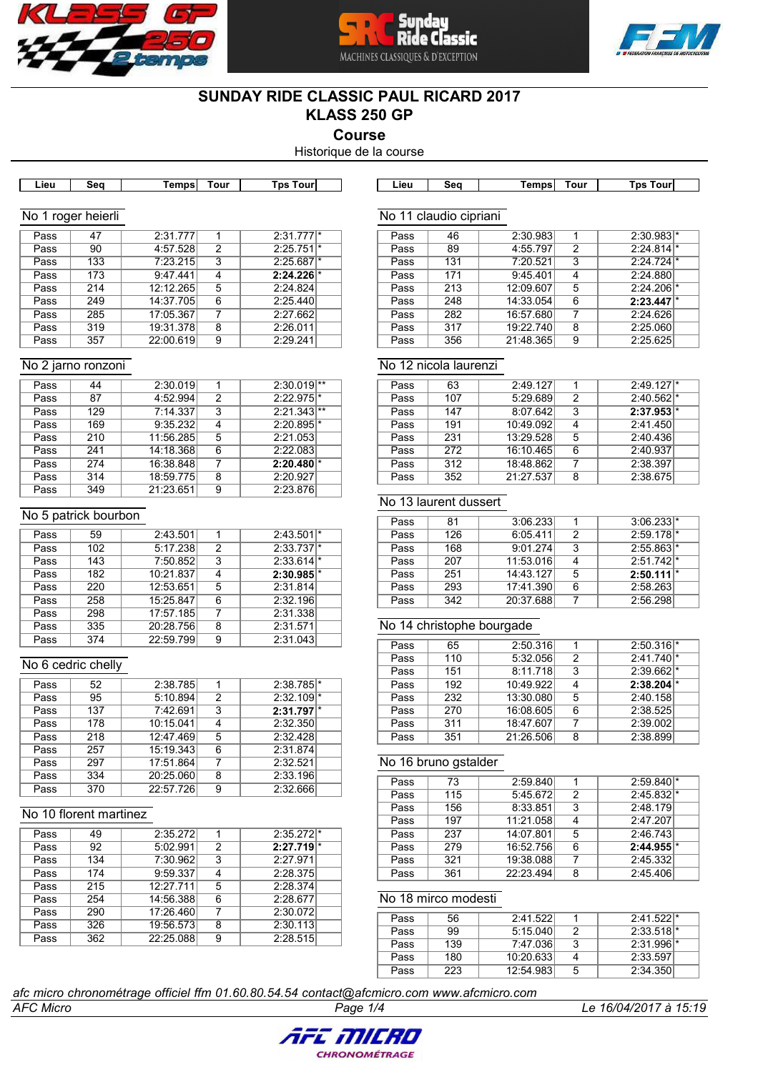





# **SUNDAY RIDE CLASSIC PAUL RICARD 2017 KLASS 250 GP**

**Course**

Historique de la course

| Lieu | Sea           | iempsl | Tour | Tps Tour | Lieu       | Sea     | Tempsı   | Tour | Tps Tour |
|------|---------------|--------|------|----------|------------|---------|----------|------|----------|
|      |               |        |      |          |            |         |          |      |          |
| No   | roger heierli |        |      |          | No<br>- 11 | claudio | cipriani |      |          |

| $2:31.777$ <sup>*</sup><br>2:31.777<br>47<br>Pass<br>2:25.751<br>4:57.528<br>2<br>90<br>Pass<br>7:23.215<br>2:25.687<br>3<br>133<br>Pass<br>9:47.441<br>$2:24.226$ <sup>*</sup><br>173<br>Pass<br>12:12.265<br>2:24.824<br>214<br>5<br>Pass<br>14:37.705<br>2:25.440<br>249<br>6<br>Pass<br>2:27.662<br>17:05.367<br>285<br>Pass<br>7<br>19:31.378<br>2:26.011<br>319<br>8<br>Pass<br>22:00.619<br>2:29.241<br>357<br>Pass<br>9 |  |  |  |
|---------------------------------------------------------------------------------------------------------------------------------------------------------------------------------------------------------------------------------------------------------------------------------------------------------------------------------------------------------------------------------------------------------------------------------|--|--|--|
|                                                                                                                                                                                                                                                                                                                                                                                                                                 |  |  |  |
|                                                                                                                                                                                                                                                                                                                                                                                                                                 |  |  |  |
|                                                                                                                                                                                                                                                                                                                                                                                                                                 |  |  |  |
|                                                                                                                                                                                                                                                                                                                                                                                                                                 |  |  |  |
|                                                                                                                                                                                                                                                                                                                                                                                                                                 |  |  |  |
|                                                                                                                                                                                                                                                                                                                                                                                                                                 |  |  |  |
|                                                                                                                                                                                                                                                                                                                                                                                                                                 |  |  |  |
|                                                                                                                                                                                                                                                                                                                                                                                                                                 |  |  |  |
|                                                                                                                                                                                                                                                                                                                                                                                                                                 |  |  |  |

#### No 2 jarno ronzoni

| Pass | 44  | 2:30.019  | 1 | $2:30.019$ **           |
|------|-----|-----------|---|-------------------------|
| Pass | 87  | 4:52.994  | 2 | $2:22.975$ <sup>*</sup> |
| Pass | 129 | 7:14.337  | 3 | $2:21.343$ **           |
| Pass | 169 | 9:35.232  | 4 | $2:20.895$ <sup>*</sup> |
| Pass | 210 | 11:56.285 | 5 | 2:21.053                |
| Pass | 241 | 14:18.368 | 6 | 2:22.083                |
| Pass | 274 | 16:38.848 | 7 | 2:20.480                |
| Pass | 314 | 18:59.775 | 8 | 2:20.927                |
| Pass | 349 | 21:23.651 | 9 | 2:23.876                |

#### No 5 patrick bourbon

| Pass | 59  | 2:43.501  | 1 | $2:43.501$ <sup>*</sup> |
|------|-----|-----------|---|-------------------------|
| Pass | 102 | 5:17.238  | 2 | $2:33.737$ <sup>*</sup> |
| Pass | 143 | 7:50.852  | 3 | $2:33.614$ <sup>*</sup> |
| Pass | 182 | 10:21.837 | 4 | $2:30.985$ <sup>*</sup> |
| Pass | 220 | 12:53.651 | 5 | 2:31.814                |
| Pass | 258 | 15:25.847 | 6 | 2:32.196                |
| Pass | 298 | 17:57.185 | 7 | 2:31.338                |
| Pass | 335 | 20:28.756 | 8 | 2:31.571                |
| Pass | 374 | 22:59.799 | 9 | 2:31.043                |

# No 6 cedric chelly

| Pass | 52  | 2:38.785  | 1 | 2:38.785                |
|------|-----|-----------|---|-------------------------|
| Pass | 95  | 5:10.894  | 2 | 2:32.109                |
| Pass | 137 | 7:42.691  | 3 | $2:31.797$ <sup>*</sup> |
| Pass | 178 | 10:15.041 | 4 | 2:32.350                |
| Pass | 218 | 12:47.469 | 5 | 2:32.428                |
| Pass | 257 | 15:19.343 | 6 | 2:31.874                |
| Pass | 297 | 17:51.864 | 7 | 2:32.521                |
| Pass | 334 | 20:25.060 | 8 | 2:33.196                |
| Pass | 370 | 22:57.726 | 9 | 2:32.666                |
|      |     |           |   |                         |

#### No 10 florent martinez

| Pass | 49  | 2:35.272  | 1 | $2:35.272$ <sup>*</sup> |
|------|-----|-----------|---|-------------------------|
| Pass | 92  | 5:02.991  | 2 | 2:27.719                |
| Pass | 134 | 7:30.962  | 3 | 2:27.971                |
| Pass | 174 | 9:59.337  | 4 | 2:28.375                |
| Pass | 215 | 12:27.711 | 5 | 2:28.374                |
| Pass | 254 | 14:56.388 | 6 | 2:28.677                |
| Pass | 290 | 17:26.460 | 7 | 2:30.072                |
| Pass | 326 | 19:56.573 | 8 | 2:30.113                |
| Pass | 362 | 22:25.088 | 9 | 2:28.515                |
|      |     |           |   |                         |

#### No 11 claudio cipriani

| Pass | 46  | 2:30.983  |   | $2:30.983$ <sup>*</sup> |
|------|-----|-----------|---|-------------------------|
| Pass | 89  | 4:55.797  | 2 | 2:24.814                |
| Pass | 131 | 7:20.521  | 3 | $2:24.724$ <sup>*</sup> |
| Pass | 171 | 9:45.401  | 4 | 2:24.880                |
| Pass | 213 | 12:09.607 | 5 | $2:24.206$ <sup>*</sup> |
| Pass | 248 | 14:33.054 | 6 | 2:23.447                |
| Pass | 282 | 16:57.680 | 7 | 2:24.626                |
| Pass | 317 | 19:22.740 | 8 | 2:25.060                |
| Pass | 356 | 21:48.365 | 9 | 2:25.625                |
|      |     |           |   |                         |

# No 12 nicola laurenzi

| Pass | 63  | 2:49.127  |   | 2:49.127                |
|------|-----|-----------|---|-------------------------|
| Pass | 107 | 5:29.689  | 2 | $2:40.562$ <sup>*</sup> |
| Pass | 147 | 8:07.642  | 3 | 2:37.953                |
| Pass | 191 | 10:49.092 |   | 2:41.450                |
| Pass | 231 | 13:29.528 | 5 | 2:40.436                |
| Pass | 272 | 16:10.465 | 6 | 2:40.937                |
| Pass | 312 | 18:48.862 |   | 2:38.397                |
| Pass | 352 | 21:27.537 | 8 | 2:38.675                |

#### No 13 laurent dussert

| Pass | 81  | 3:06.233  |   | $3:06.233$ <sup>*</sup> |  |
|------|-----|-----------|---|-------------------------|--|
|      |     |           |   |                         |  |
| Pass | 126 | 6:05.411  | 2 | $2:59.178$ <sup>*</sup> |  |
| Pass | 168 | 9:01.274  | 3 | $2:55.863$ <sup>*</sup> |  |
| Pass | 207 | 11:53.016 |   | $2:51.742$ <sup>*</sup> |  |
| Pass | 251 | 14:43.127 | 5 | 2:50.111                |  |
| Pass | 293 | 17:41.390 | 6 | 2:58.263                |  |
| Pass | 342 | 20:37.688 |   | 2:56.298                |  |

# No 14 christophe bourgade

| Pass | 65  | 2:50.316  |   | $2:50.316$ <sup>*</sup> |  |
|------|-----|-----------|---|-------------------------|--|
| Pass | 110 | 5:32.056  | 2 | $2:41.740$ <sup>*</sup> |  |
| Pass | 151 | 8:11.718  | 3 | $2:39.662$ <sup>*</sup> |  |
| Pass | 192 | 10:49.922 |   | 2:38.204                |  |
| Pass | 232 | 13:30.080 | 5 | 2:40.158                |  |
| Pass | 270 | 16:08.605 | 6 | 2:38.525                |  |
| Pass | 311 | 18:47.607 |   | 2:39.002                |  |
| Pass | 351 | 21:26.506 | 8 | 2:38.899                |  |

## No 16 bruno gstalder

| Pass | 73  | 2:59.840  |   | $2:59.840$ <sup>*</sup> |
|------|-----|-----------|---|-------------------------|
| Pass | 115 | 5:45.672  | 2 | $2:45.832$ <sup>*</sup> |
| Pass | 156 | 8:33.851  | 3 | 2:48.179                |
| Pass | 197 | 11:21.058 | 4 | 2:47.207                |
| Pass | 237 | 14:07.801 | 5 | 2:46.743                |
| Pass | 279 | 16:52.756 | 6 | 2:44.955                |
| Pass | 321 | 19:38.088 | 7 | 2:45.332                |
| Pass | 361 | 22:23.494 | 8 | 2:45.406                |

# No 18 mirco modesti

| Pass | 56  | 2:41.522  |   | $2:41.522$ <sup>*</sup> |  |
|------|-----|-----------|---|-------------------------|--|
| Pass | 99  | 5:15.040  | 2 | $2:33.518$ <sup>*</sup> |  |
| Pass | 139 | 7:47.036  | 3 | $2:31.996$ <sup>*</sup> |  |
| Pass | 180 | 10:20.633 |   | 2:33.597                |  |
| Pass | 223 | 12:54.983 | 5 | 2:34.350                |  |

#### *afc micro chronométrage officiel ffm 01.60.80.54.54 contact@afcmicro.com www.afcmicro.com*



*AFC Micro Page 1/4 Le 16/04/2017 à 15:19*

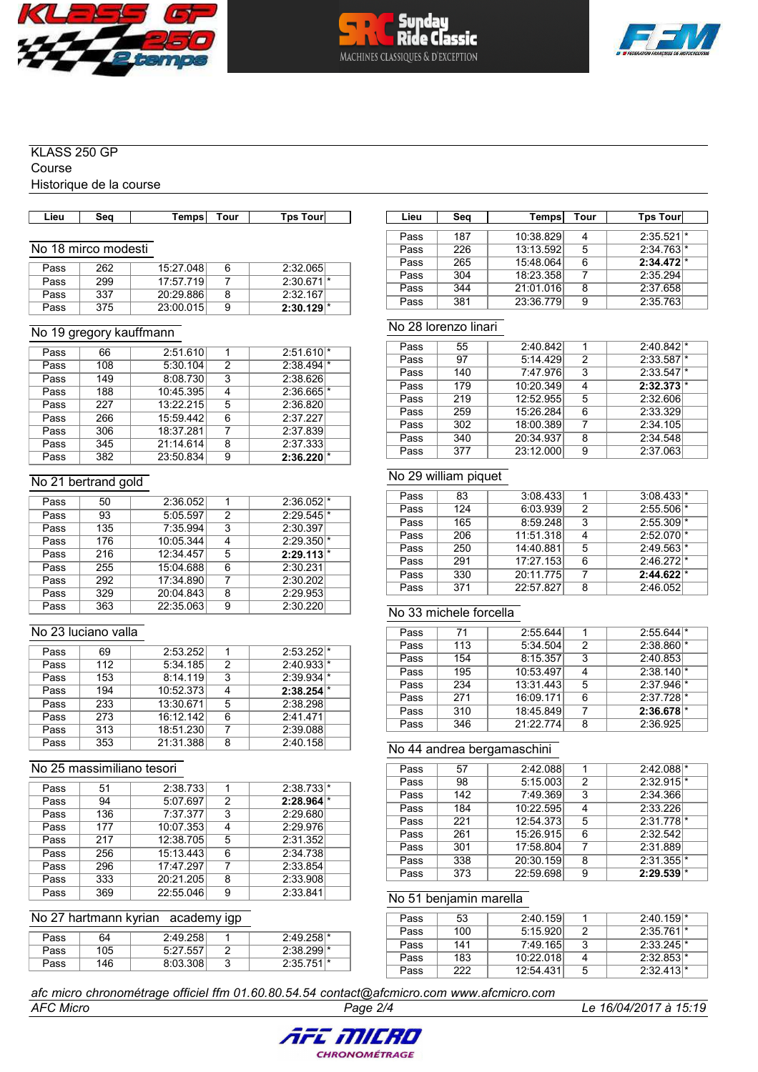





#### KLASS 250 GP

Course

Historique de la course

|  | Lieu | Seo | <b>Temps</b> | . our | . our<br><b>T</b> ps |  | Lieu | Seα | <b>Temps</b> | . our | ัps<br>. our |
|--|------|-----|--------------|-------|----------------------|--|------|-----|--------------|-------|--------------|
|--|------|-----|--------------|-------|----------------------|--|------|-----|--------------|-------|--------------|

## No 18 mirco modesti

| Pass | 262 | 15:27.048 | 6 | 2:32.065                |
|------|-----|-----------|---|-------------------------|
| Pass | 299 | 17:57.719 |   | $2:30.671$ <sup>*</sup> |
| Pass | 337 | 20:29.886 |   | 2:32.167                |
| Pass | 375 | 23:00.015 | 9 | $2:30.129$ <sup>*</sup> |

#### No 19 gregory kauffmann

| Pass | 66  | 2:51.610  | 1 | $2:51.610$ <sup>*</sup> |
|------|-----|-----------|---|-------------------------|
| Pass | 108 | 5:30.104  | 2 | $2:38.494$ <sup>*</sup> |
| Pass | 149 | 8:08.730  | 3 | 2:38.626                |
| Pass | 188 | 10:45.395 | 4 | $2:36.665$ <sup>*</sup> |
| Pass | 227 | 13:22.215 | 5 | 2:36.820                |
| Pass | 266 | 15:59.442 | 6 | 2:37.227                |
| Pass | 306 | 18:37.281 | 7 | 2:37.839                |
| Pass | 345 | 21:14.614 | 8 | 2:37.333                |
| Pass | 382 | 23:50.834 | 9 | 2:36.220                |

#### No 21 bertrand gold

| Pass | 50  | 2:36.052  | 1 | $2:36.052$ <sup>*</sup> |
|------|-----|-----------|---|-------------------------|
| Pass | 93  | 5:05.597  | 2 | $2:29.545$ <sup>*</sup> |
| Pass | 135 | 7:35.994  | 3 | 2:30.397                |
| Pass | 176 | 10:05.344 | 4 | $2:29.350$ <sup>*</sup> |
| Pass | 216 | 12:34.457 | 5 | $2:29.113$ <sup>*</sup> |
| Pass | 255 | 15:04.688 | 6 | 2:30.231                |
| Pass | 292 | 17:34.890 | 7 | 2:30.202                |
| Pass | 329 | 20:04.843 | 8 | 2:29.953                |
| Pass | 363 | 22:35.063 | 9 | 2:30.220                |

#### No 23 luciano valla

| Pass | 69  | 2:53.252  |   | $2:53.252$ <sup>*</sup> |
|------|-----|-----------|---|-------------------------|
| Pass | 112 | 5:34.185  | 2 | $2:40.933$ <sup>*</sup> |
| Pass | 153 | 8:14.119  | 3 | $2:39.934$ <sup>*</sup> |
| Pass | 194 | 10:52.373 | 4 | 2:38.254                |
| Pass | 233 | 13:30.671 | 5 | 2:38.298                |
| Pass | 273 | 16:12.142 | 6 | 2:41.471                |
| Pass | 313 | 18:51.230 |   | 2:39.088                |
| Pass | 353 | 21:31.388 | 8 | 2:40.158                |

#### No 25 massimiliano tesori

| Pass | 51  | 2:38.733  |   | $2:38.733*$ |
|------|-----|-----------|---|-------------|
| Pass | 94  | 5:07.697  | 2 | 2:28.964    |
| Pass | 136 | 7:37.377  | 3 | 2:29.680    |
| Pass | 177 | 10:07.353 | 4 | 2:29.976    |
| Pass | 217 | 12:38.705 | 5 | 2:31.352    |
| Pass | 256 | 15:13.443 | 6 | 2:34.738    |
| Pass | 296 | 17:47.297 |   | 2:33.854    |
| Pass | 333 | 20:21.205 | 8 | 2:33.908    |
| Pass | 369 | 22:55.046 | 9 | 2:33.841    |

#### No 27 hartmann kyrian academy igp

| Pass | 64  | 2:49.258 |   | $2:49.258$ <sup>*</sup> |
|------|-----|----------|---|-------------------------|
| Pass | 105 | 5:27.557 |   | $2:38.299$ <sup>*</sup> |
| Pass | 146 | 8:03.308 | u | 2:35.751                |

| Lieu | Seg | Temps     | Tour | <b>Tps Tourl</b>        |  |
|------|-----|-----------|------|-------------------------|--|
|      |     |           |      |                         |  |
| Pass | 187 | 10:38.829 | 4    | 2:35.521                |  |
| Pass | 226 | 13:13.592 | 5    | $2:34.763$ <sup>*</sup> |  |
| Pass | 265 | 15:48.064 | 6    | $2:34.472$ <sup>*</sup> |  |
| Pass | 304 | 18:23.358 |      | 2:35.294                |  |
| Pass | 344 | 21:01.016 | 8    | 2:37.658                |  |
| Pass | 381 | 23:36.779 | 9    | 2:35.763                |  |

#### No 28 lorenzo linari

| Pass | 55  | 2:40.842  |   | $2:40.842$ <sup>*</sup> |
|------|-----|-----------|---|-------------------------|
| Pass | 97  | 5:14.429  | 2 | $2:33.587$ <sup>*</sup> |
| Pass | 140 | 7:47.976  | 3 | $2:33.547$ <sup>*</sup> |
| Pass | 179 | 10:20.349 | 4 | $2:32.373$ <sup>*</sup> |
| Pass | 219 | 12:52.955 | 5 | 2:32.606                |
| Pass | 259 | 15:26.284 | 6 | 2:33.329                |
| Pass | 302 | 18:00.389 | 7 | 2:34.105                |
| Pass | 340 | 20:34.937 | 8 | 2:34.548                |
| Pass | 377 | 23:12.000 | 9 | 2:37.063                |

#### No 29 william piquet

| Pass | 83  | 3:08.433  |   | 3:08.433                |  |
|------|-----|-----------|---|-------------------------|--|
| Pass | 124 | 6:03.939  | 2 | $2:55.506$ <sup>*</sup> |  |
| Pass | 165 | 8:59.248  | 3 | $2:55.309$ <sup>*</sup> |  |
| Pass | 206 | 11:51.318 | 4 | $2:52.070$ <sup>*</sup> |  |
| Pass | 250 | 14:40.881 | 5 | $2:49.563$ <sup>*</sup> |  |
| Pass | 291 | 17:27.153 | 6 | $2:46.272$ <sup>*</sup> |  |
| Pass | 330 | 20:11.775 | 7 | 2:44.622                |  |
| Pass | 371 | 22:57.827 | 8 | 2:46.052                |  |

#### No 33 michele forcella

| Pass | 71  | 2:55.644  |   | 2:55.644                |  |
|------|-----|-----------|---|-------------------------|--|
| Pass | 113 | 5:34.504  | 2 | $2:38.860$ <sup>*</sup> |  |
| Pass | 154 | 8:15.357  | 3 | 2:40.853                |  |
| Pass | 195 | 10:53.497 | 4 | $2:38.140$ <sup>*</sup> |  |
| Pass | 234 | 13:31.443 | 5 | $2:37.946$ <sup>*</sup> |  |
| Pass | 271 | 16:09.171 | 6 | $2:37.728$ <sup>*</sup> |  |
| Pass | 310 | 18:45.849 | 7 | 2:36.678                |  |
| Pass | 346 | 21:22.774 | 8 | 2:36.925                |  |

#### No 44 andrea bergamaschini

| Pass | 57  | 2:42.088  | 1 | $2:42.088$ <sup>*</sup> |  |
|------|-----|-----------|---|-------------------------|--|
| Pass | 98  | 5:15.003  | 2 | $2:32.915$ <sup>*</sup> |  |
| Pass | 142 | 7:49.369  | 3 | 2:34.366                |  |
| Pass | 184 | 10:22.595 | 4 | 2:33.226                |  |
| Pass | 221 | 12:54.373 | 5 | $2:31.778$ <sup>*</sup> |  |
| Pass | 261 | 15:26.915 | 6 | 2:32.542                |  |
| Pass | 301 | 17:58.804 |   | 2:31.889                |  |
| Pass | 338 | 20:30.159 | 8 | $2:31.355$ <sup>*</sup> |  |
| Pass | 373 | 22:59.698 | 9 | 2:29.539                |  |

## No 51 benjamin marella

| Pass | 53  | 2:40.159  |   | $2:40.159$ <sup>*</sup> |
|------|-----|-----------|---|-------------------------|
| Pass | 100 | 5:15.920  |   | 2:35.761                |
| Pass | 141 | 7:49.165  | 3 | $2:33.245$ <sup>*</sup> |
| Pass | 183 | 10:22.018 |   | $2:32.853$ <sup>*</sup> |
| Pass | 222 | 12:54.431 | 5 | $2:32.413$ <sup>*</sup> |

#### *afc micro chronométrage officiel ffm 01.60.80.54.54 contact@afcmicro.com www.afcmicro.com*

*AFC Micro Page 2/4 Le 16/04/2017 à 15:19*

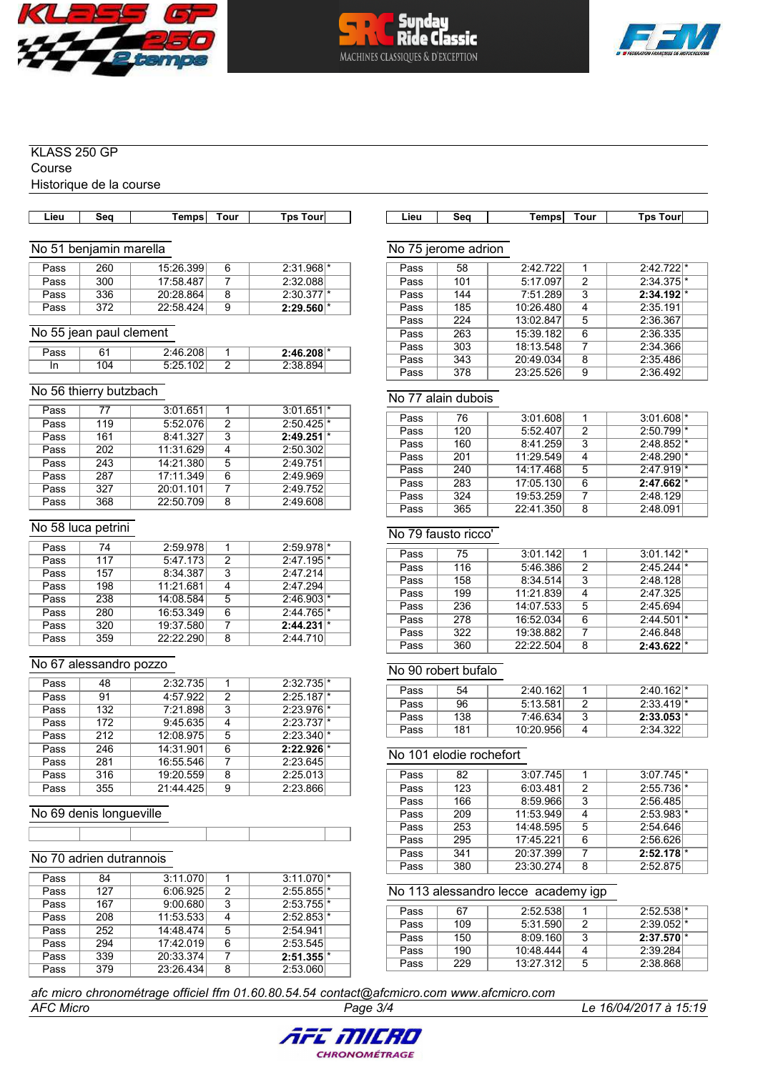





#### KLASS 250 GP

Course

Historique de la course

| Lieu. | Sea | Tempsl | Tour | Tps Tourl |  |
|-------|-----|--------|------|-----------|--|
|       |     |        |      |           |  |

# No 51 benjamin marella

| Pass | 260 | 15:26.399 | 6 | $2:31.968$ <sup>*</sup> |
|------|-----|-----------|---|-------------------------|
| Pass | 300 | 17:58.487 |   | 2:32.088                |
| Pass | 336 | 20:28.864 | 8 | $2:30.377$ *            |
| Pass | 372 | 22:58.424 | 9 | $2:29.560$ <sup>*</sup> |

#### No 55 jean paul clement

| ass    | r 1 | 208       |        | $2:46.208$ <sup>*</sup> |  |
|--------|-----|-----------|--------|-------------------------|--|
| In<br> | 04  | 102<br>ᅠ᠈ | ◠<br>- | OЛ                      |  |

#### No 56 thierry butzbach

| Pass | 77  | 3:01.651  |   | 3:01.651                |
|------|-----|-----------|---|-------------------------|
| Pass | 119 | 5:52.076  | 2 | $2:50.425$ <sup>*</sup> |
| Pass | 161 | 8:41.327  | 3 | 2:49.251                |
| Pass | 202 | 11:31.629 | 4 | 2:50.302                |
| Pass | 243 | 14:21.380 | 5 | 2:49.751                |
| Pass | 287 | 17:11.349 | 6 | 2:49.969                |
| Pass | 327 | 20:01.101 |   | 2:49.752                |
| Pass | 368 | 22:50.709 | 8 | 2:49.608                |

#### No 58 luca petrini

| Pass | 74  | 2:59.978  |   | $2:59.978$ <sup>*</sup> |
|------|-----|-----------|---|-------------------------|
| Pass | 117 | 5:47.173  | 2 | $2:47.195$ <sup>*</sup> |
| Pass | 157 | 8:34.387  | 3 | 2:47.214                |
| Pass | 198 | 11:21.681 |   | 2:47.294                |
| Pass | 238 | 14:08.584 | 5 | $2:46.903$ <sup>*</sup> |
| Pass | 280 | 16:53.349 | 6 | $2:44.765$ <sup>*</sup> |
| Pass | 320 | 19:37.580 |   | 2:44.231                |
| Pass | 359 | 22:22.290 | 8 | 2:44.710                |

#### No 67 alessandro pozzo

| Pass | 48  | 2:32.735  |   | $2:32.735$ <sup>*</sup> |
|------|-----|-----------|---|-------------------------|
| Pass | 91  | 4:57.922  | 2 | $2:25.187$ <sup>*</sup> |
| Pass | 132 | 7:21.898  | 3 | $2:23.976$ <sup>*</sup> |
| Pass | 172 | 9:45.635  | 4 | $2:23.737$ <sup>*</sup> |
| Pass | 212 | 12:08.975 | 5 | $2:23.340$ <sup>*</sup> |
| Pass | 246 | 14:31.901 | 6 | $2:22.926$ <sup>*</sup> |
| Pass | 281 | 16:55.546 | 7 | 2:23.645                |
| Pass | 316 | 19:20.559 | 8 | 2:25.013                |
| Pass | 355 | 21:44.425 | 9 | 2:23.866                |

#### No 69 denis longueville

# No 70 adrien dutrannois

**AFC Micro** 

| Pass | 84  | 3:11.070  |   | $3:11.070$ <sup>*</sup> |
|------|-----|-----------|---|-------------------------|
| Pass | 127 | 6:06.925  | 2 | 2:55.855                |
| Pass | 167 | 9:00.680  | 3 | $2:53.755$ <sup>*</sup> |
| Pass | 208 | 11:53.533 | 4 | $2:52.853$ <sup>*</sup> |
| Pass | 252 | 14:48.474 | 5 | 2:54.941                |
| Pass | 294 | 17:42.019 | 6 | 2:53.545                |
| Pass | 339 | 20:33.374 | 7 | $2:51.355$ <sup>*</sup> |
| Pass | 379 | 23:26.434 | 8 | 2:53.060                |

| Lieu | зео | ⊺empsl | Tour | Гns<br>Tourl |  |
|------|-----|--------|------|--------------|--|

#### No 75 jerome adrion

| Pass | 58  | 2:42.722  |   | $2:42.722$ <sup>*</sup> |
|------|-----|-----------|---|-------------------------|
| Pass | 101 | 5:17.097  | 2 | $2:34.375$ <sup>*</sup> |
| Pass | 144 | 7:51.289  | 3 | $2:34.192$ <sup>*</sup> |
| Pass | 185 | 10:26.480 | 4 | 2:35.191                |
| Pass | 224 | 13:02.847 | 5 | 2:36.367                |
| Pass | 263 | 15:39.182 | 6 | 2:36.335                |
| Pass | 303 | 18:13.548 | 7 | 2:34.366                |
| Pass | 343 | 20:49.034 | 8 | 2:35.486                |
| Pass | 378 | 23:25.526 | 9 | 2:36.492                |

#### No 77 alain dubois

| Pass | 76  | 3:01.608  | 1 | $3:01.608$ <sup>*</sup> |  |
|------|-----|-----------|---|-------------------------|--|
| Pass | 120 | 5:52.407  | 2 | $2:50.799$ <sup>*</sup> |  |
| Pass | 160 | 8:41.259  | 3 | $2:48.852$ <sup>*</sup> |  |
| Pass | 201 | 11:29.549 | 4 | $2:48.290$ <sup>*</sup> |  |
| Pass | 240 | 14:17.468 | 5 | $2:47.919$ <sup>*</sup> |  |
| Pass | 283 | 17:05.130 | 6 | 2:47.662                |  |
| Pass | 324 | 19:53.259 | 7 | 2:48.129                |  |
| Pass | 365 | 22:41.350 | 8 | 2:48.091                |  |
|      |     |           |   |                         |  |

#### No 79 fausto ricco'

| Pass | 75  | 3:01.142  |   | $3:01.142$ <sup>*</sup> |  |
|------|-----|-----------|---|-------------------------|--|
| Pass | 116 | 5:46.386  | 2 | $2:45.244$ <sup>*</sup> |  |
| Pass | 158 | 8:34.514  | 3 | 2:48.128                |  |
| Pass | 199 | 11:21.839 | 4 | 2:47.325                |  |
| Pass | 236 | 14:07.533 | 5 | 2:45.694                |  |
| Pass | 278 | 16:52.034 | 6 | $2:44.501$ <sup>*</sup> |  |
| Pass | 322 | 19:38.882 | 7 | 2:46.848                |  |
| Pass | 360 | 22:22.504 | 8 | 2:43.622                |  |

#### No 90 robert bufalo

| Pass | 54  | 2:40.162  | $2:40.162$ <sup>*</sup> |
|------|-----|-----------|-------------------------|
| Pass | 96  | 5:13.581  | $2:33.419$ <sup>*</sup> |
| Pass | 138 | 7:46.634  | $2:33.053$ <sup>*</sup> |
| Pass | 181 | 10:20.956 | 2:34.322                |

#### No 101 elodie rochefort

| Pass | 82  | 3:07.745  |   | $3:07.745$ <sup>*</sup> |  |
|------|-----|-----------|---|-------------------------|--|
| Pass | 123 | 6:03.481  | 2 | $2:55.736$ <sup>*</sup> |  |
| Pass | 166 | 8:59.966  | 3 | 2:56.485                |  |
| Pass | 209 | 11:53.949 |   | $2:53.983$ <sup>*</sup> |  |
| Pass | 253 | 14:48.595 | 5 | 2:54.646                |  |
| Pass | 295 | 17:45.221 | 6 | 2:56.626                |  |
| Pass | 341 | 20:37.399 | 7 | $2:52.178$ <sup>*</sup> |  |
| Pass | 380 | 23:30.274 | 8 | 2:52.875                |  |

#### No 113 alessandro lecce academy igp

| Pass | 67  | 2:52.538  |   | 2:52.538                |
|------|-----|-----------|---|-------------------------|
| Pass | 109 | 5:31.590  |   | $2:39.052$ <sup>*</sup> |
| Pass | 150 | 8:09.160  | 3 | $2:37.570$ <sup>*</sup> |
| Pass | 190 | 10:48.444 |   | 2:39.284                |
| Pass | 229 | 13:27.312 | 5 | 2:38.868                |

#### afc micro chronométrage officiel ffm 01.60.80.54.54 contact@afcmicro.com www.afcmicro.com

Le 16/04/2017 à 15:19